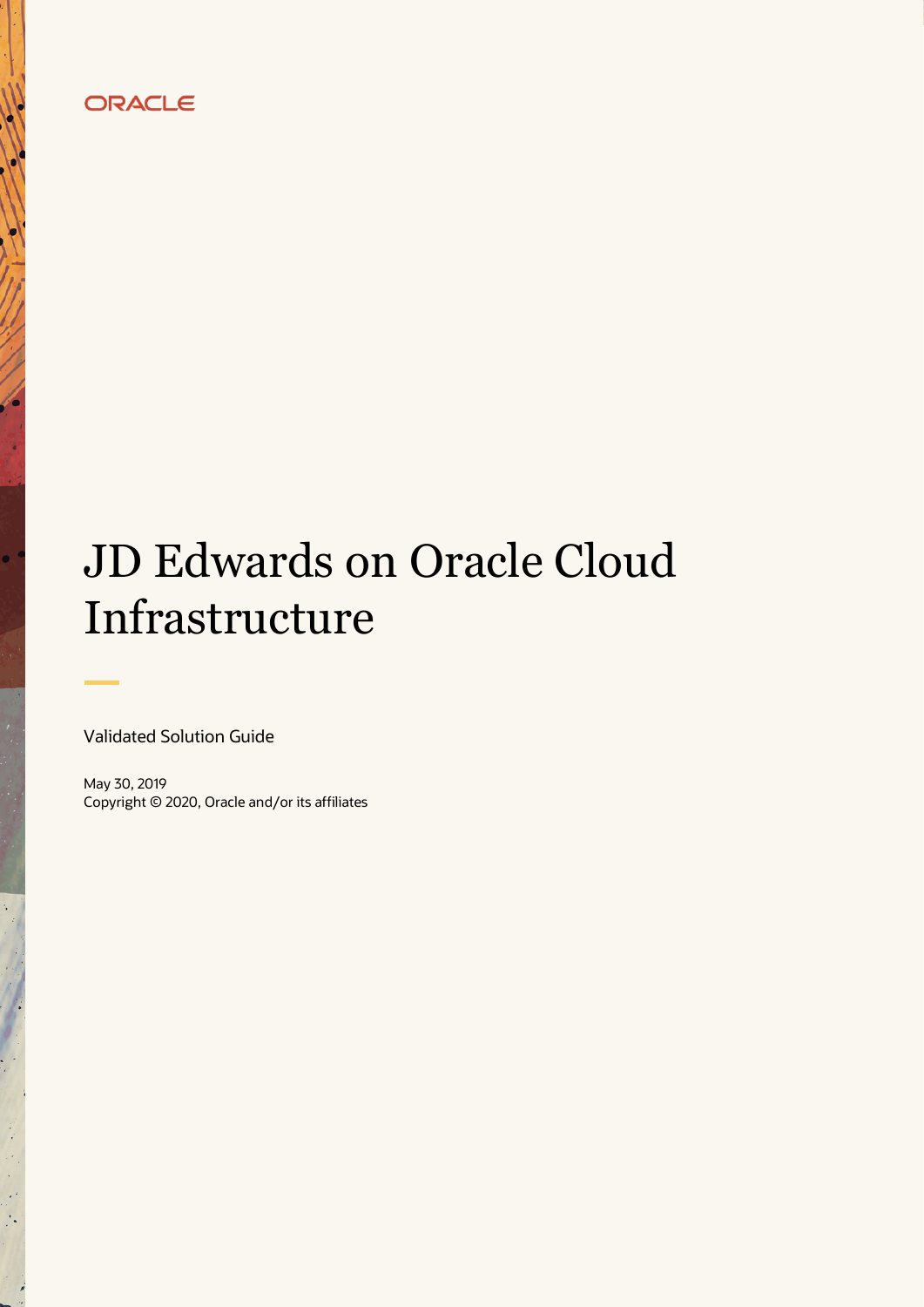# ORACLE

# JD Edwards on Oracle Cloud Infrastructure

Validated Solution Guide

۰

May 30, 2019 Copyright © 2020, Oracle and/or its affiliates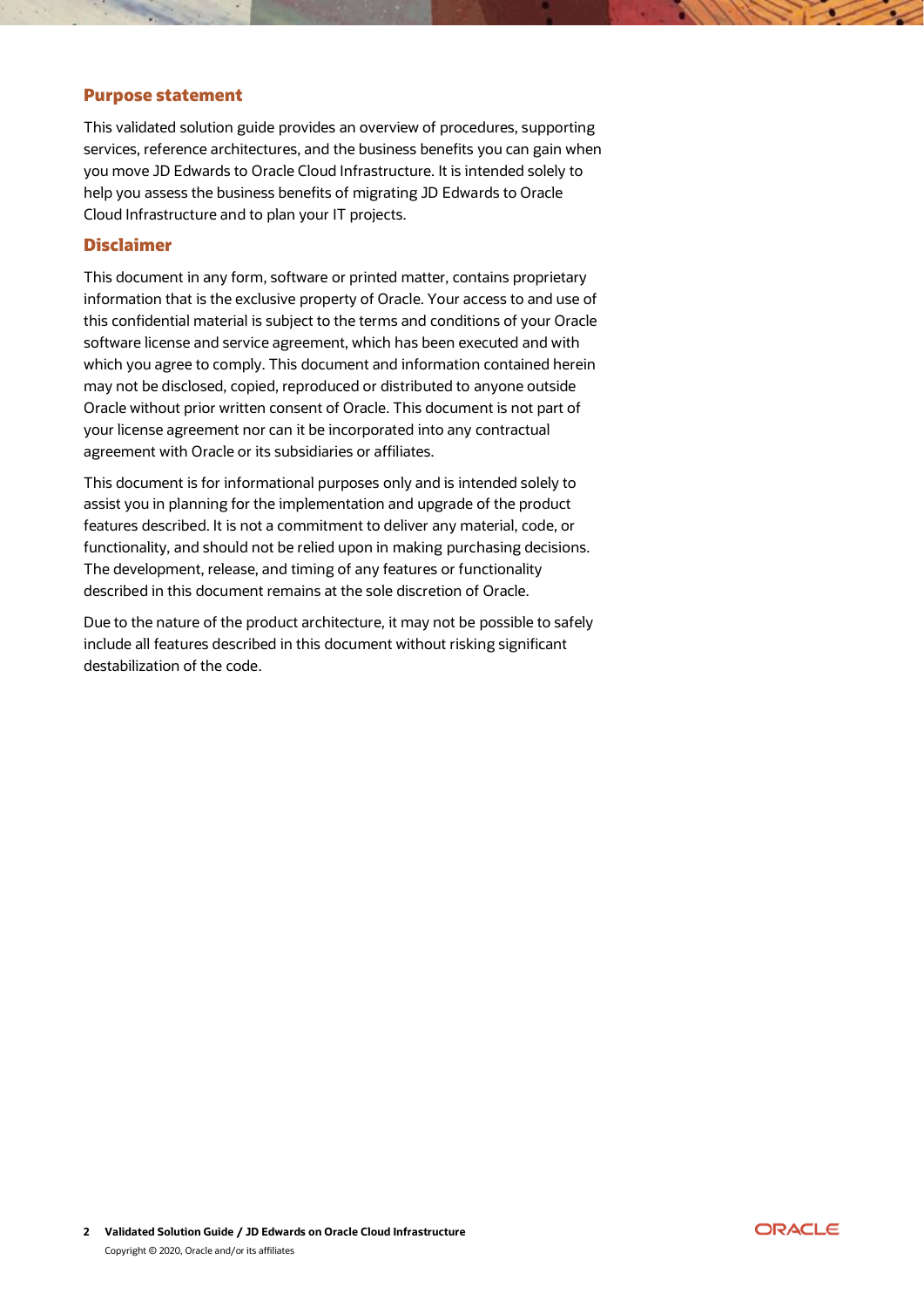#### Purpose statement

This validated solution guide provides an overview of procedures, supporting services, reference architectures, and the business benefits you can gain when you move JD Edwards to Oracle Cloud Infrastructure. It is intended solely to help you assess the business benefits of migrating JD Edwards to Oracle Cloud Infrastructure and to plan your IT projects.

## Disclaimer

This document in any form, software or printed matter, contains proprietary information that is the exclusive property of Oracle. Your access to and use of this confidential material is subject to the terms and conditions of your Oracle software license and service agreement, which has been executed and with which you agree to comply. This document and information contained herein may not be disclosed, copied, reproduced or distributed to anyone outside Oracle without prior written consent of Oracle. This document is not part of your license agreement nor can it be incorporated into any contractual agreement with Oracle or its subsidiaries or affiliates.

This document is for informational purposes only and is intended solely to assist you in planning for the implementation and upgrade of the product features described. It is not a commitment to deliver any material, code, or functionality, and should not be relied upon in making purchasing decisions. The development, release, and timing of any features or functionality described in this document remains at the sole discretion of Oracle.

Due to the nature of the product architecture, it may not be possible to safely include all features described in this document without risking significant destabilization of the code.

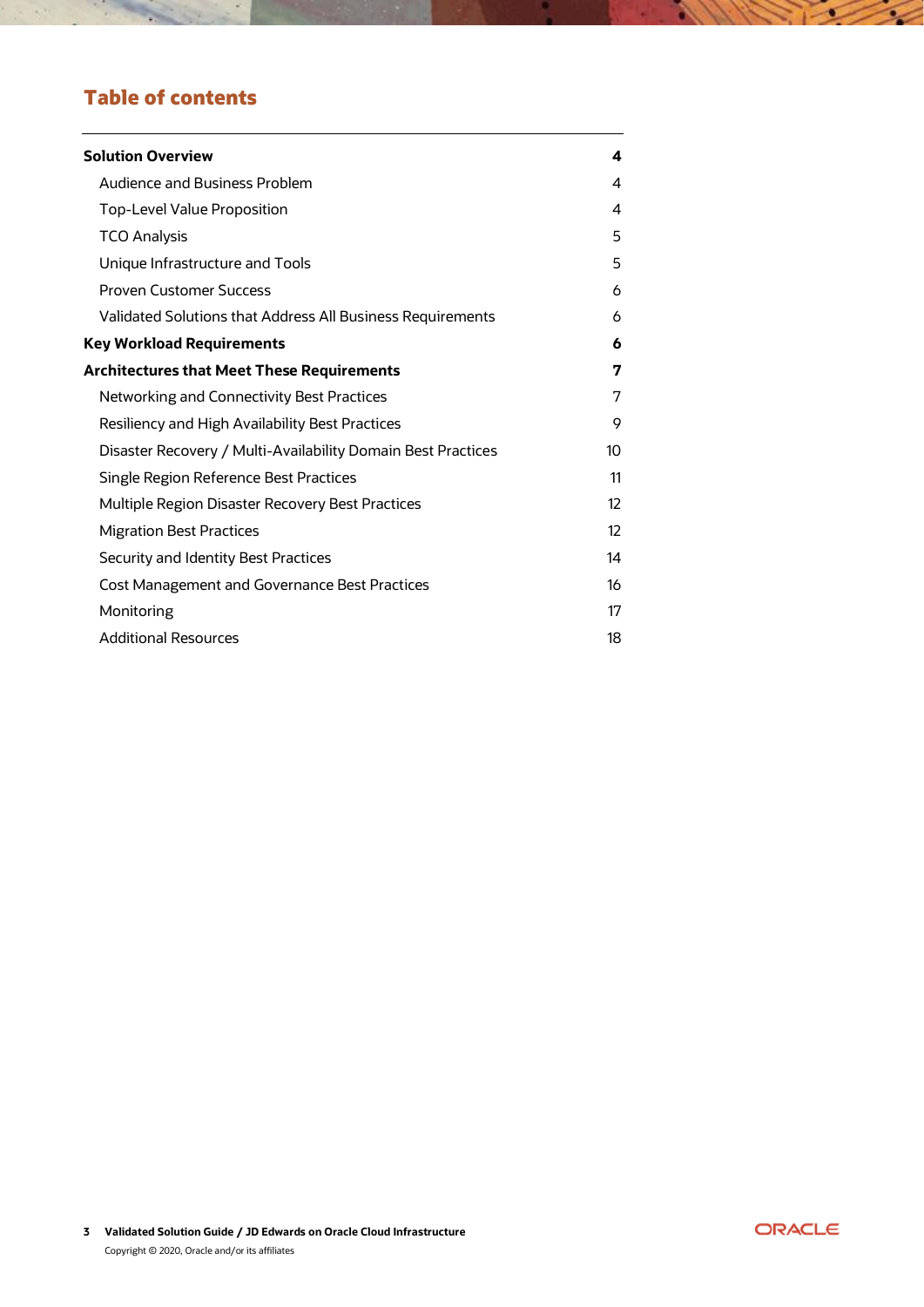# Table of contents

 $\mathcal{A}$ 

| <b>Solution Overview</b>                                     | 4                 |
|--------------------------------------------------------------|-------------------|
| Audience and Business Problem                                | 4                 |
| Top-Level Value Proposition                                  | 4                 |
| <b>TCO Analysis</b>                                          | 5                 |
| Unique Infrastructure and Tools                              | 5                 |
| <b>Proven Customer Success</b>                               | 6                 |
| Validated Solutions that Address All Business Requirements   | 6                 |
| <b>Key Workload Requirements</b>                             | 6                 |
| <b>Architectures that Meet These Requirements</b>            | 7                 |
| Networking and Connectivity Best Practices                   | 7                 |
| Resiliency and High Availability Best Practices              | 9                 |
| Disaster Recovery / Multi-Availability Domain Best Practices | 10                |
| Single Region Reference Best Practices                       | 11                |
| Multiple Region Disaster Recovery Best Practices             | 12                |
| <b>Migration Best Practices</b>                              | $12 \overline{ }$ |
| Security and Identity Best Practices                         | 14                |
| <b>Cost Management and Governance Best Practices</b>         | 16                |
| Monitoring                                                   | 17                |
| <b>Additional Resources</b>                                  | 18                |



<u> 111</u>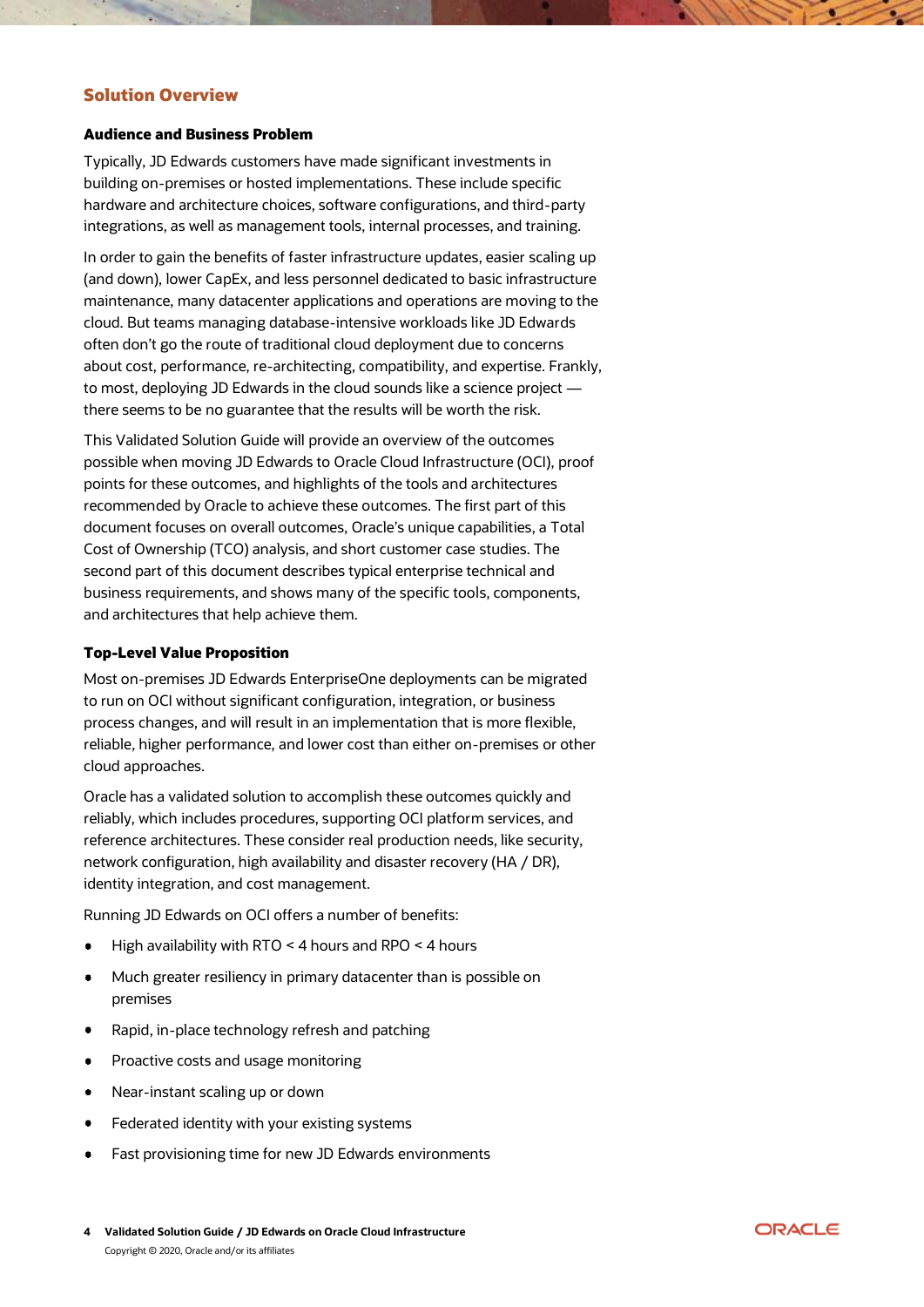# <span id="page-3-0"></span>Solution Overview

#### <span id="page-3-1"></span>Audience and Business Problem

Typically, JD Edwards customers have made significant investments in building on-premises or hosted implementations. These include specific hardware and architecture choices, software configurations, and third-party integrations, as well as management tools, internal processes, and training.

In order to gain the benefits of faster infrastructure updates, easier scaling up (and down), lower CapEx, and less personnel dedicated to basic infrastructure maintenance, many datacenter applications and operations are moving to the cloud. But teams managing database-intensive workloads like JD Edwards often don't go the route of traditional cloud deployment due to concerns about cost, performance, re-architecting, compatibility, and expertise. Frankly, to most, deploying JD Edwards in the cloud sounds like a science project there seems to be no guarantee that the results will be worth the risk.

This Validated Solution Guide will provide an overview of the outcomes possible when moving JD Edwards to Oracle Cloud Infrastructure (OCI), proof points for these outcomes, and highlights of the tools and architectures recommended by Oracle to achieve these outcomes. The first part of this document focuses on overall outcomes, Oracle's unique capabilities, a Total Cost of Ownership (TCO) analysis, and short customer case studies. The second part of this document describes typical enterprise technical and business requirements, and shows many of the specific tools, components, and architectures that help achieve them.

#### <span id="page-3-2"></span>Top-Level Value Proposition

Most on-premises JD Edwards EnterpriseOne deployments can be migrated to run on OCI without significant configuration, integration, or business process changes, and will result in an implementation that is more flexible, reliable, higher performance, and lower cost than either on-premises or other cloud approaches.

Oracle has a validated solution to accomplish these outcomes quickly and reliably, which includes procedures, supporting OCI platform services, and reference architectures. These consider real production needs, like security, network configuration, high availability and disaster recovery (HA / DR), identity integration, and cost management.

Running JD Edwards on OCI offers a number of benefits:

- High availability with RTO < 4 hours and RPO < 4 hours
- Much greater resiliency in primary datacenter than is possible on  $\bullet$ premises
- Rapid, in-place technology refresh and patching
- Proactive costs and usage monitoring  $\bullet$
- Near-instant scaling up or down  $\bullet$
- Federated identity with your existing systems
- Fast provisioning time for new JD Edwards environments

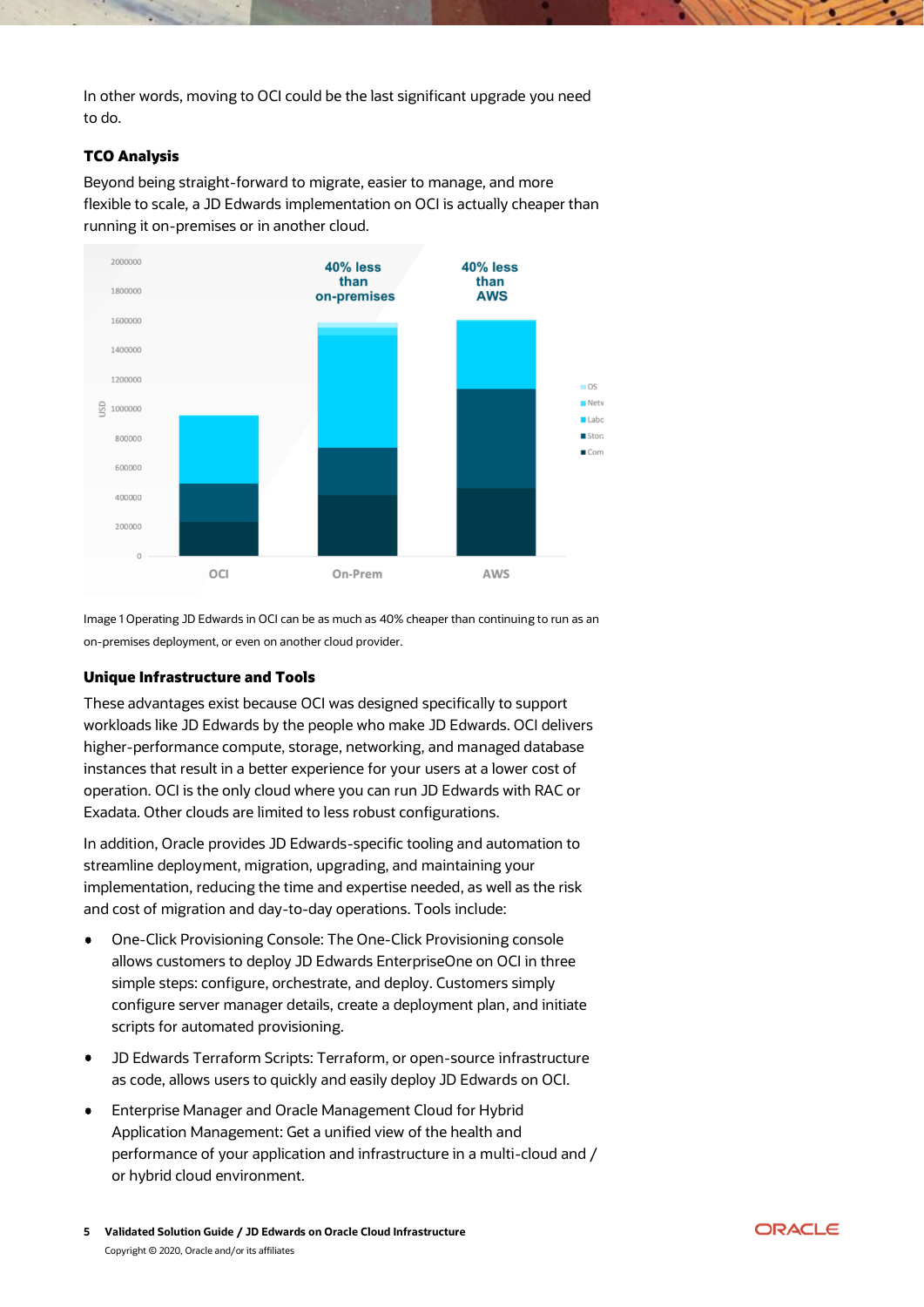In other words, moving to OCI could be the last significant upgrade you need to do.

#### <span id="page-4-0"></span>TCO Analysis

Beyond being straight-forward to migrate, easier to manage, and more flexible to scale, a JD Edwards implementation on OCI is actually cheaper than running it on-premises or in another cloud.



Image 1 Operating JD Edwards in OCI can be as much as 40% cheaper than continuing to run as an on-premises deployment, or even on another cloud provider.

#### <span id="page-4-1"></span>Unique Infrastructure and Tools

These advantages exist because OCI was designed specifically to support workloads like JD Edwards by the people who make JD Edwards. OCI delivers higher-performance compute, storage, networking, and managed database instances that result in a better experience for your users at a lower cost of operation. OCI is the only cloud where you can run JD Edwards with RAC or Exadata. Other clouds are limited to less robust configurations.

In addition, Oracle provides JD Edwards-specific tooling and automation to streamline deployment, migration, upgrading, and maintaining your implementation, reducing the time and expertise needed, as well as the risk and cost of migration and day-to-day operations. Tools include:

- One-Click Provisioning Console: The One-Click Provisioning console allows customers to deploy JD Edwards EnterpriseOne on OCI in three simple steps: configure, orchestrate, and deploy. Customers simply configure server manager details, create a deployment plan, and initiate scripts for automated provisioning.
- $\bullet$ JD Edwards Terraform Scripts: Terraform, or open-source infrastructure as code, allows users to quickly and easily deploy JD Edwards on OCI.
- Enterprise Manager and Oracle Management Cloud for Hybrid Application Management: Get a unified view of the health and performance of your application and infrastructure in a multi-cloud and / or hybrid cloud environment.

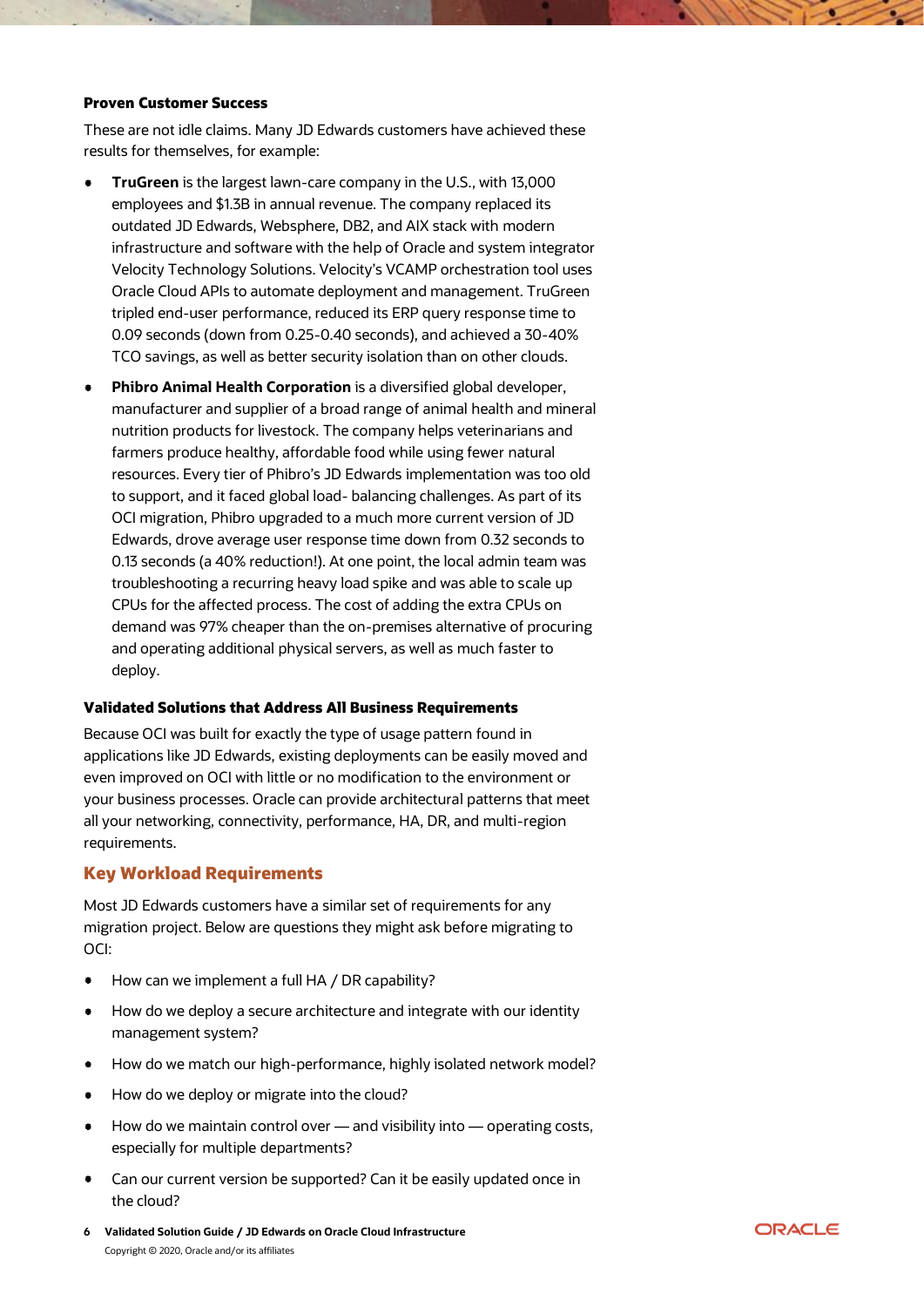#### <span id="page-5-0"></span>Proven Customer Success

These are not idle claims. Many JD Edwards customers have achieved these results for themselves, for example:

- **TruGreen** is the largest lawn-care company in the U.S., with 13,000 employees and \$1.3B in annual revenue. The company replaced its outdated JD Edwards, Websphere, DB2, and AIX stack with modern infrastructure and software with the help of Oracle and system integrator Velocity Technology Solutions. Velocity's VCAMP orchestration tool uses Oracle Cloud APIs to automate deployment and management. TruGreen tripled end-user performance, reduced its ERP query response time to 0.09 seconds (down from 0.25-0.40 seconds), and achieved a 30-40% TCO savings, as well as better security isolation than on other clouds.
- **Phibro Animal Health Corporation** is a diversified global developer, manufacturer and supplier of a broad range of animal health and mineral nutrition products for livestock. The company helps veterinarians and farmers produce healthy, affordable food while using fewer natural resources. Every tier of Phibro's JD Edwards implementation was too old to support, and it faced global load- balancing challenges. As part of its OCI migration, Phibro upgraded to a much more current version of JD Edwards, drove average user response time down from 0.32 seconds to 0.13 seconds (a 40% reduction!). At one point, the local admin team was troubleshooting a recurring heavy load spike and was able to scale up CPUs for the affected process. The cost of adding the extra CPUs on demand was 97% cheaper than the on-premises alternative of procuring and operating additional physical servers, as well as much faster to deploy.

#### <span id="page-5-1"></span>Validated Solutions that Address All Business Requirements

Because OCI was built for exactly the type of usage pattern found in applications like JD Edwards, existing deployments can be easily moved and even improved on OCI with little or no modification to the environment or your business processes. Oracle can provide architectural patterns that meet all your networking, connectivity, performance, HA, DR, and multi-region requirements.

#### <span id="page-5-2"></span>Key Workload Requirements

Most JD Edwards customers have a similar set of requirements for any migration project. Below are questions they might ask before migrating to OCI:

- How can we implement a full HA / DR capability?
- $\bullet$ How do we deploy a secure architecture and integrate with our identity management system?
- How do we match our high-performance, highly isolated network model?  $\bullet$
- How do we deploy or migrate into the cloud?
- How do we maintain control over and visibility into operating costs, especially for multiple departments?
- Can our current version be supported? Can it be easily updated once in the cloud?
- **6 Validated Solution Guide / JD Edwards on Oracle Cloud Infrastructure** Copyright © 2020, Oracle and/or its affiliates

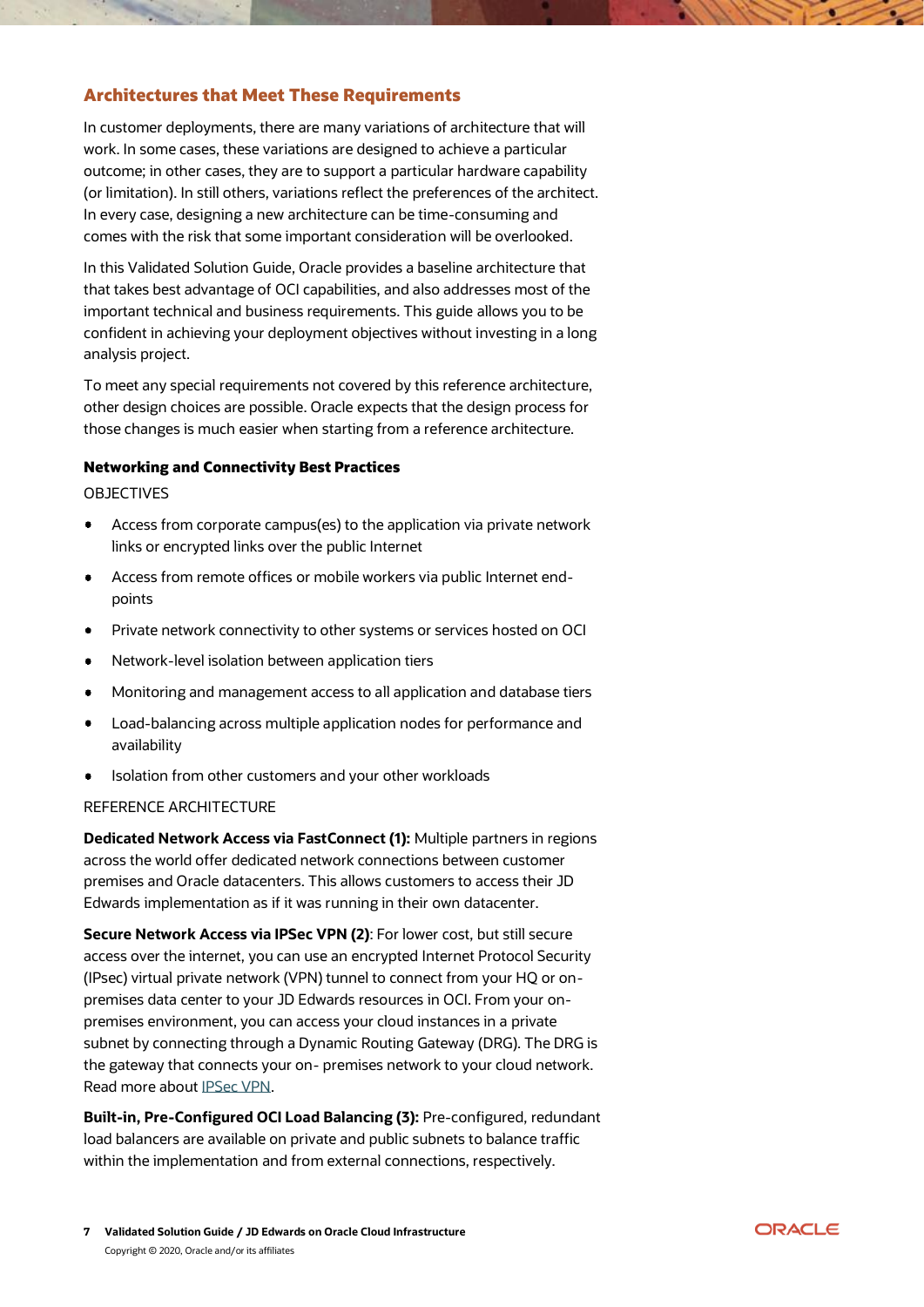# <span id="page-6-0"></span>Architectures that Meet These Requirements

In customer deployments, there are many variations of architecture that will work. In some cases, these variations are designed to achieve a particular outcome; in other cases, they are to support a particular hardware capability (or limitation). In still others, variations reflect the preferences of the architect. In every case, designing a new architecture can be time-consuming and comes with the risk that some important consideration will be overlooked.

In this Validated Solution Guide, Oracle provides a baseline architecture that that takes best advantage of OCI capabilities, and also addresses most of the important technical and business requirements. This guide allows you to be confident in achieving your deployment objectives without investing in a long analysis project.

To meet any special requirements not covered by this reference architecture, other design choices are possible. Oracle expects that the design process for those changes is much easier when starting from a reference architecture.

#### <span id="page-6-1"></span>Networking and Connectivity Best Practices

OBJECTIVES

- Access from corporate campus(es) to the application via private network links or encrypted links over the public Internet
- Access from remote offices or mobile workers via public Internet endpoints
- Private network connectivity to other systems or services hosted on OCI  $\bullet$
- Network-level isolation between application tiers  $\bullet$
- Monitoring and management access to all application and database tiers
- Load-balancing across multiple application nodes for performance and availability
- Isolation from other customers and your other workloads

#### REFERENCE ARCHITECTURE

**Dedicated Network Access via FastConnect (1):** Multiple partners in regions across the world offer dedicated network connections between customer premises and Oracle datacenters. This allows customers to access their JD Edwards implementation as if it was running in their own datacenter.

**Secure Network Access via IPSec VPN (2)**: For lower cost, but still secure access over the internet, you can use an encrypted Internet Protocol Security (IPsec) virtual private network (VPN) tunnel to connect from your HQ or onpremises data center to your JD Edwards resources in OCI. From your onpremises environment, you can access your cloud instances in a private subnet by connecting through a Dynamic Routing Gateway (DRG). The DRG is the gateway that connects your on- premises network to your cloud network. Read more about [IPSec VPN.](https://docs.cloud.oracle.com/iaas/Content/Network/Tasks/managingIPsec.htm)

**Built-in, Pre-Configured OCI Load Balancing (3):** Pre-configured, redundant load balancers are available on private and public subnets to balance traffic within the implementation and from external connections, respectively.

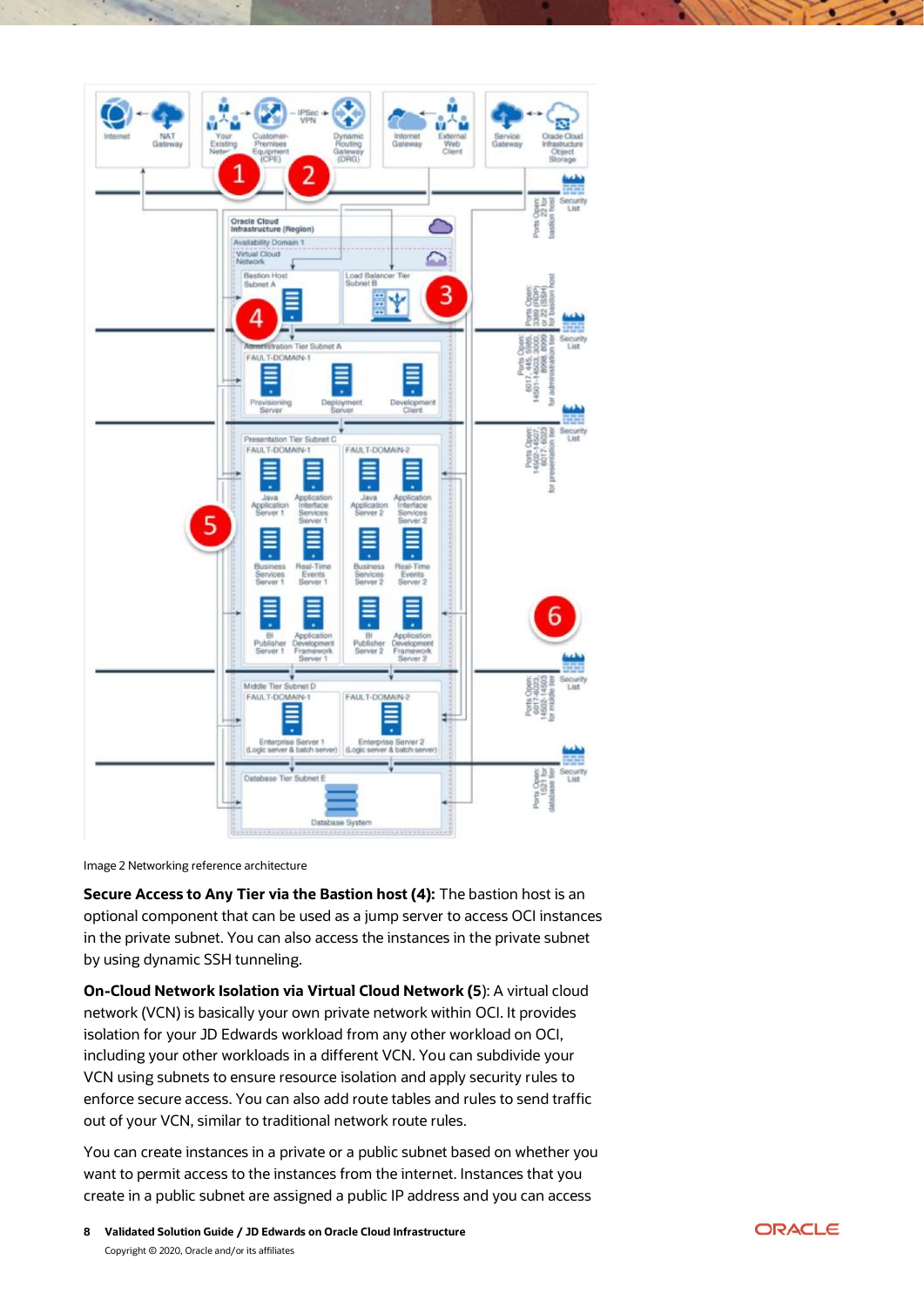

Image 2 Networking reference architecture

**Secure Access to Any Tier via the Bastion host (4):** The bastion host is an optional component that can be used as a jump server to access OCI instances in the private subnet. You can also access the instances in the private subnet by using dynamic SSH tunneling.

**On-Cloud Network Isolation via Virtual Cloud Network (5**): A virtual cloud network (VCN) is basically your own private network within OCI. It provides isolation for your JD Edwards workload from any other workload on OCI, including your other workloads in a different VCN. You can subdivide your VCN using subnets to ensure resource isolation and apply security rules to enforce secure access. You can also add route tables and rules to send traffic out of your VCN, similar to traditional network route rules.

You can create instances in a private or a public subnet based on whether you want to permit access to the instances from the internet. Instances that you create in a public subnet are assigned a public IP address and you can access

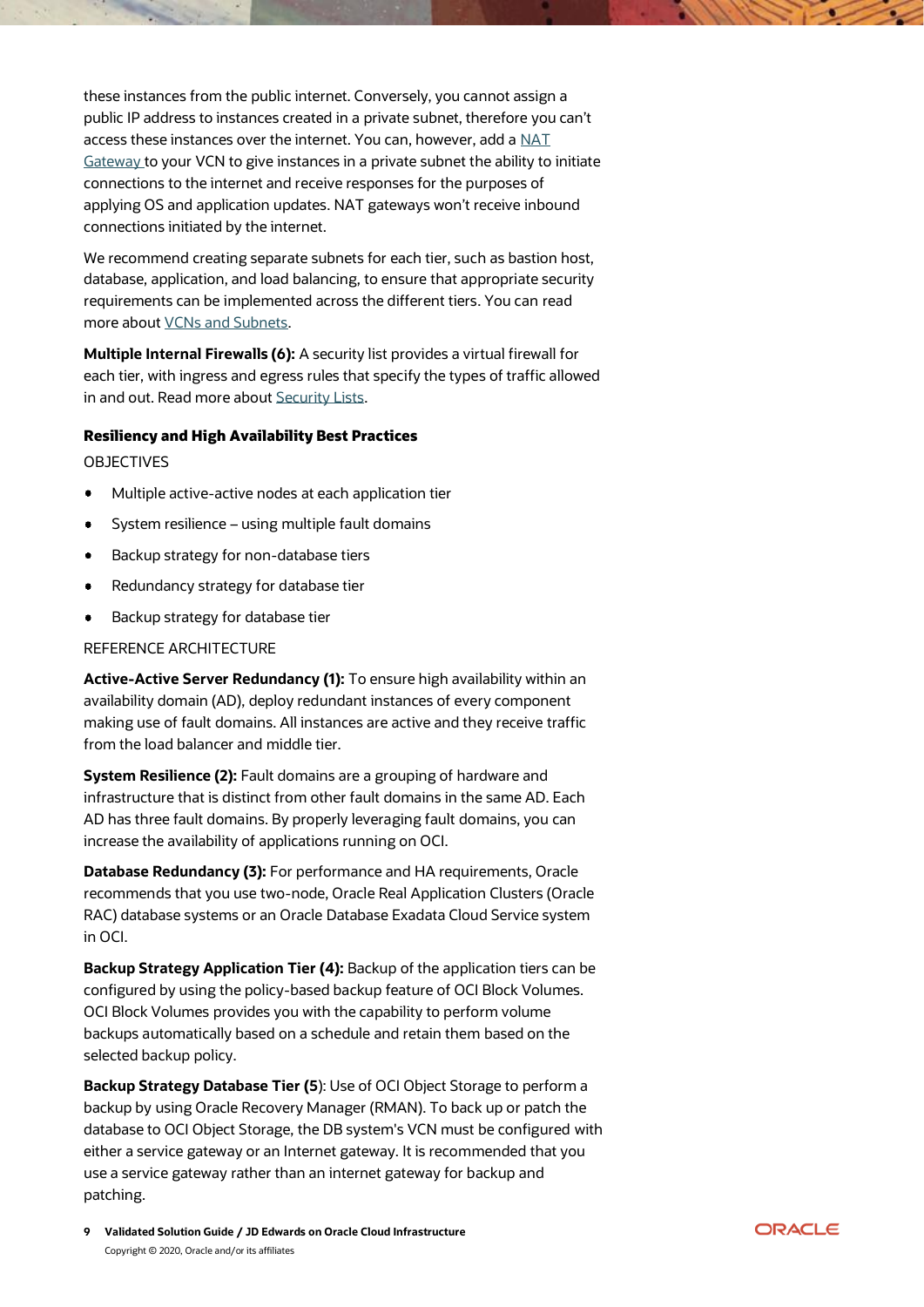these instances from the public internet. Conversely, you cannot assign a public IP address to instances created in a private subnet, therefore you can't access these instances over the internet. You can, however, add a [NAT](https://docs.cloud.oracle.com/iaas/Content/Network/Tasks/NATgateway.htm)  [Gateway](https://docs.cloud.oracle.com/iaas/Content/Network/Tasks/NATgateway.htm) to your VCN to give instances in a private subnet the ability to initiate connections to the internet and receive responses for the purposes of applying OS and application updates. NAT gateways won't receive inbound connections initiated by the internet.

We recommend creating separate subnets for each tier, such as bastion host, database, application, and load balancing, to ensure that appropriate security requirements can be implemented across the different tiers. You can read more about [VCNs and Subnets.](https://docs.cloud.oracle.com/iaas/Content/Network/Tasks/managingVCNs.htm)

**Multiple Internal Firewalls (6):** A security list provides a virtual firewall for each tier, with ingress and egress rules that specify the types of traffic allowed in and out. Read more about [Security Lists.](https://docs.cloud.oracle.com/iaas/Content/Network/Concepts/securitylists.htm)

#### <span id="page-8-0"></span>Resiliency and High Availability Best Practices

OBJECTIVES

- Multiple active-active nodes at each application tier
- $\bullet$ System resilience – using multiple fault domains
- Backup strategy for non-database tiers  $\bullet$
- Redundancy strategy for database tier
- Backup strategy for database tier

#### REFERENCE ARCHITECTURE

**Active-Active Server Redundancy (1):** To ensure high availability within an availability domain (AD), deploy redundant instances of every component making use of fault domains. All instances are active and they receive traffic from the load balancer and middle tier.

**System Resilience (2):** Fault domains are a grouping of hardware and infrastructure that is distinct from other fault domains in the same AD. Each AD has three fault domains. By properly leveraging fault domains, you can increase the availability of applications running on OCI.

**Database Redundancy (3):** For performance and HA requirements, Oracle recommends that you use two-node, Oracle Real Application Clusters (Oracle RAC) database systems or an Oracle Database Exadata Cloud Service system in OCI.

**Backup Strategy Application Tier (4):** Backup of the application tiers can be configured by using the policy-based backup feature of OCI Block Volumes. OCI Block Volumes provides you with the capability to perform volume backups automatically based on a schedule and retain them based on the selected backup policy.

**Backup Strategy Database Tier (5**): Use of OCI Object Storage to perform a backup by using Oracle Recovery Manager (RMAN). To back up or patch the database to OCI Object Storage, the DB system's VCN must be configured with either a service gateway or an Internet gateway. It is recommended that you use a service gateway rather than an internet gateway for backup and patching.

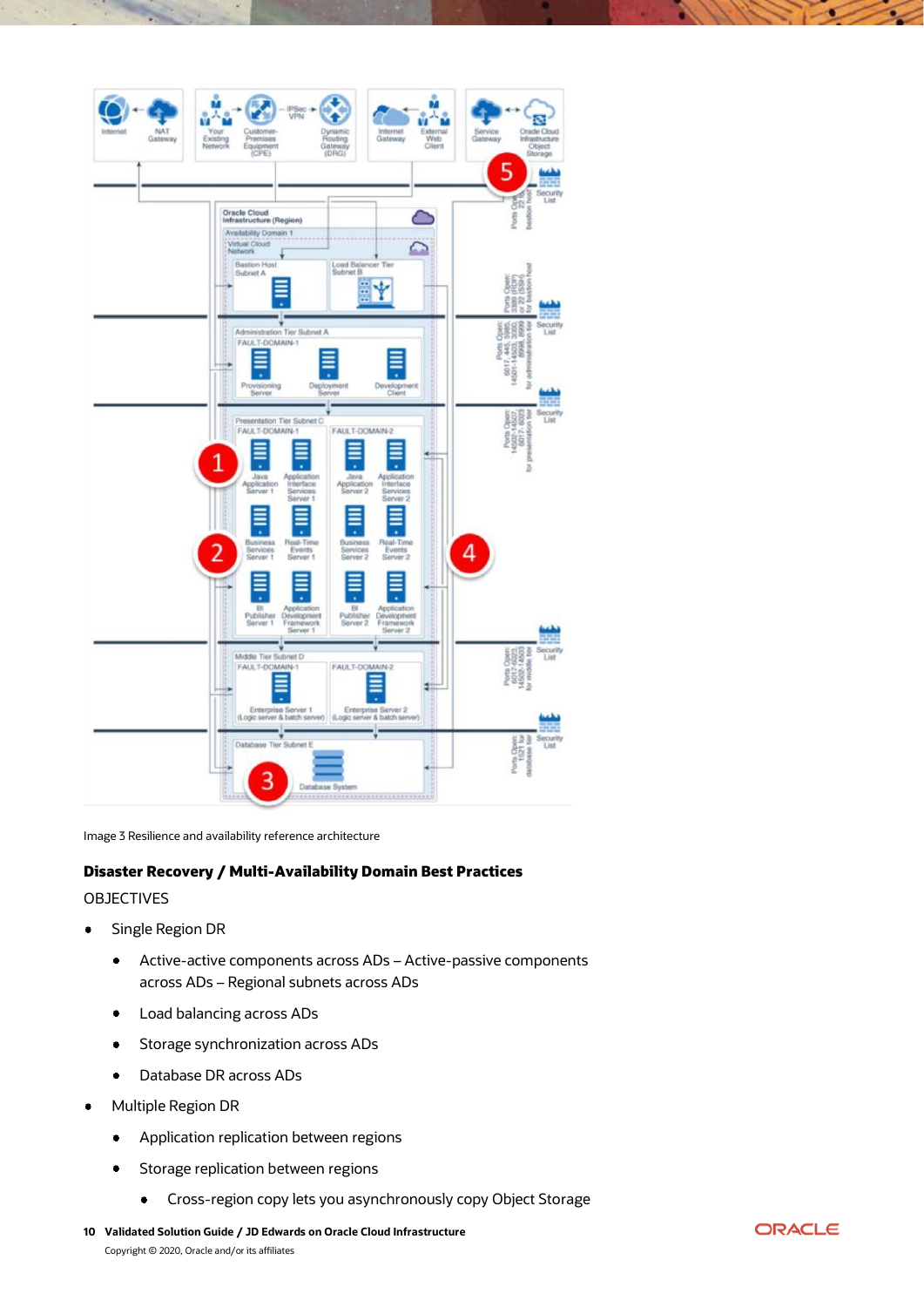

Image 3 Resilience and availability reference architecture

## <span id="page-9-0"></span>Disaster Recovery / Multi-Availability Domain Best Practices

#### OBJECTIVES

- $\bullet$ Single Region DR
	- $\bullet$ Active-active components across ADs – Active-passive components across ADs – Regional subnets across ADs
	- Load balancing across ADs  $\bullet$
	- Storage synchronization across ADs  $\bullet$
	- $\bullet$ Database DR across ADs
- Multiple Region DR
	- $\bullet$ Application replication between regions
	- Storage replication between regions  $\bullet$ 
		- Cross-region copy lets you asynchronously copy Object Storage $\bullet$
- **10 Validated Solution Guide / JD Edwards on Oracle Cloud Infrastructure** Copyright © 2020, Oracle and/or its affiliates

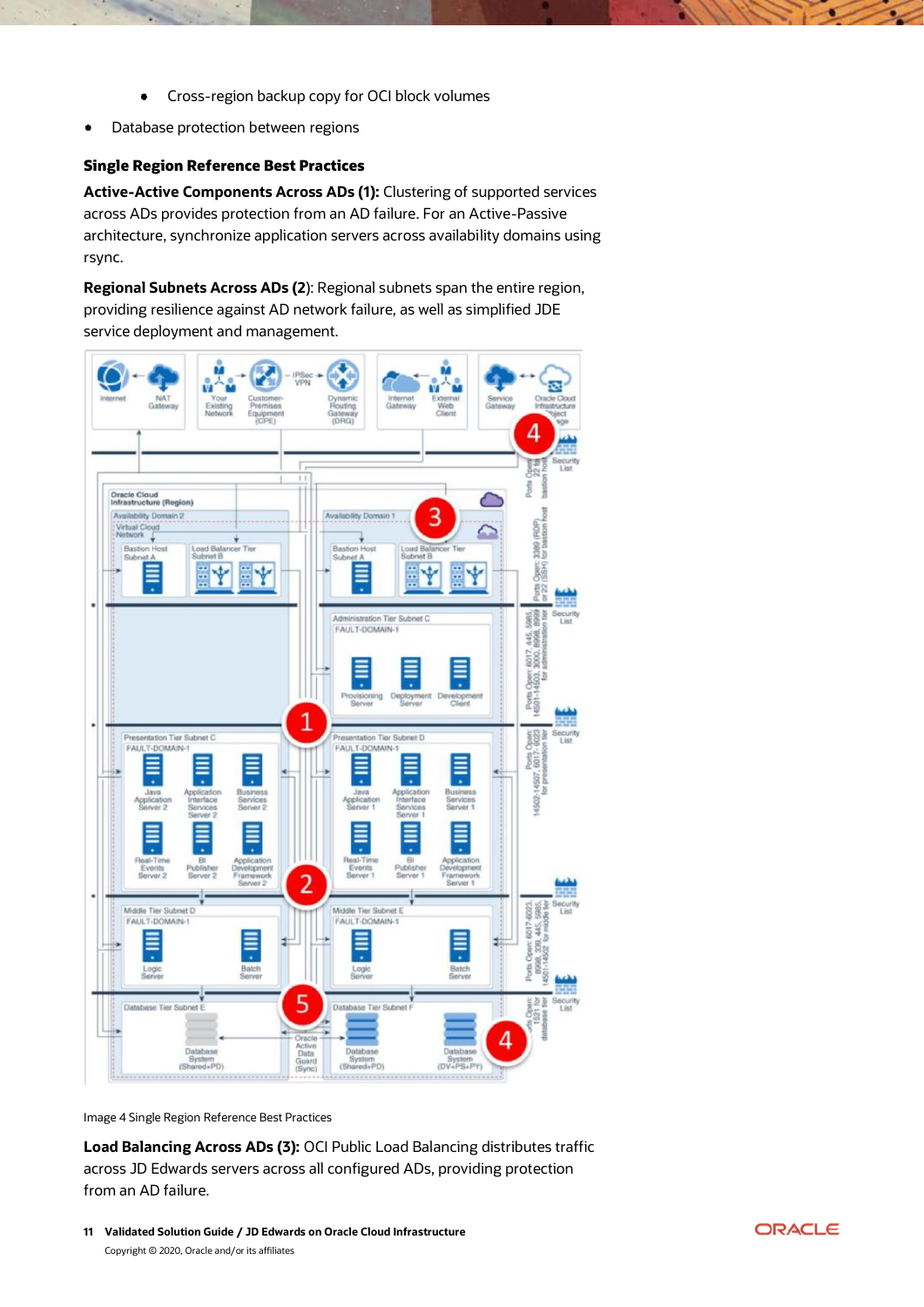- $\bullet$ Cross-region backup copy for OCI block volumes
- Database protection between regions

#### <span id="page-10-0"></span>Single Region Reference Best Practices

**Active-Active Components Across ADs (1):** Clustering of supported services across ADs provides protection from an AD failure. For an Active-Passive architecture, synchronize application servers across availability domains using rsync.

**Regional Subnets Across ADs (2**): Regional subnets span the entire region, providing resilience against AD network failure, as well as simplified JDE service deployment and management.



Image 4 Single Region Reference Best Practices

**Load Balancing Across ADs (3):** OCI Public Load Balancing distributes traffic across JD Edwards servers across all configured ADs, providing protection from an AD failure.

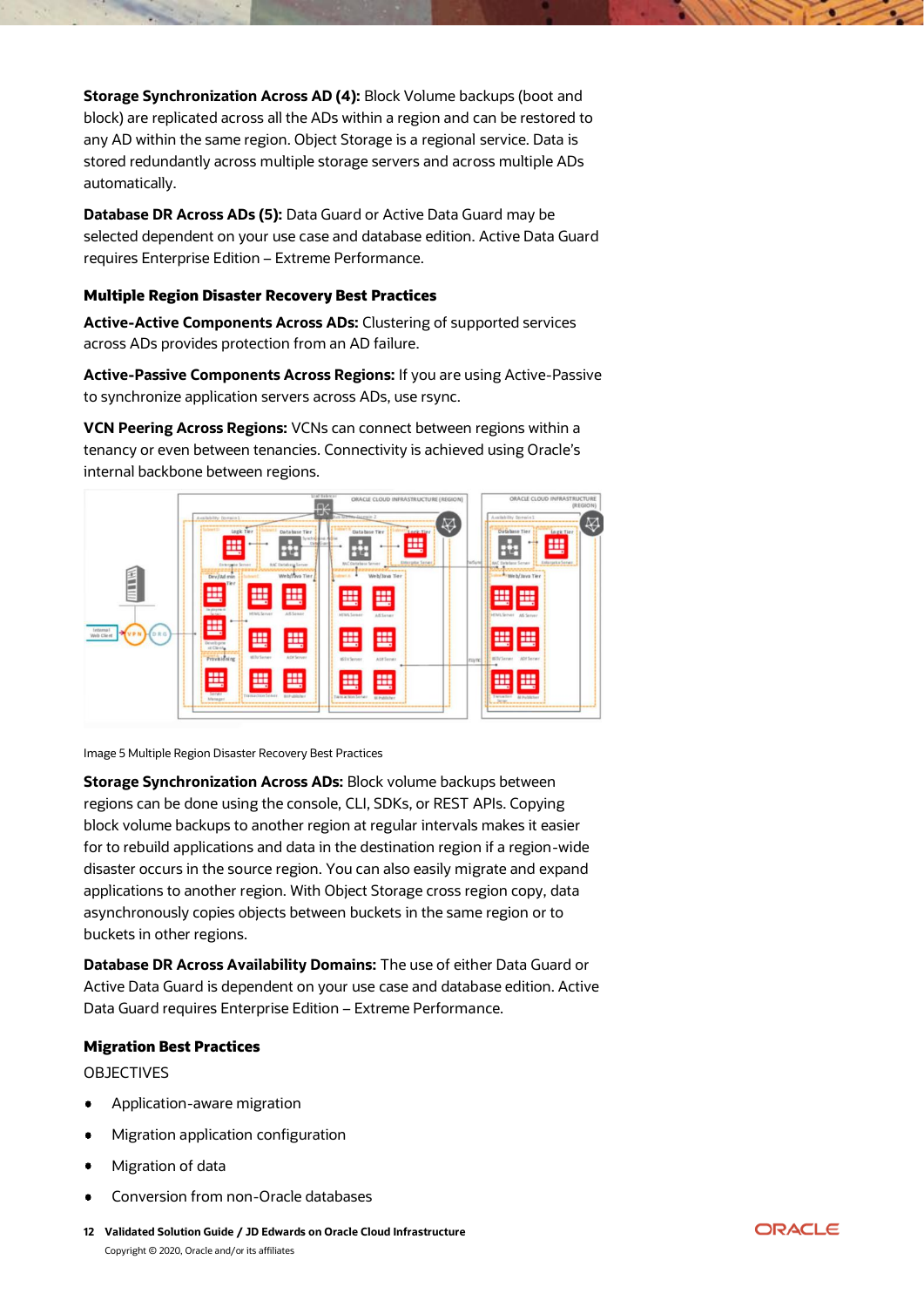**Storage Synchronization Across AD (4): Block Volume backups (boot and** block) are replicated across all the ADs within a region and can be restored to any AD within the same region. Object Storage is a regional service. Data is stored redundantly across multiple storage servers and across multiple ADs automatically.

**Database DR Across ADs (5):** Data Guard or Active Data Guard may be selected dependent on your use case and database edition. Active Data Guard requires Enterprise Edition – Extreme Performance.

#### <span id="page-11-0"></span>Multiple Region Disaster Recovery Best Practices

**Active-Active Components Across ADs:** Clustering of supported services across ADs provides protection from an AD failure.

**Active-Passive Components Across Regions:** If you are using Active-Passive to synchronize application servers across ADs, use rsync.

**VCN Peering Across Regions:** VCNs can connect between regions within a tenancy or even between tenancies. Connectivity is achieved using Oracle's internal backbone between regions.



Image 5 Multiple Region Disaster Recovery Best Practices

**Storage Synchronization Across ADs:** Block volume backups between regions can be done using the console, CLI, SDKs, or REST APIs. Copying block volume backups to another region at regular intervals makes it easier for to rebuild applications and data in the destination region if a region-wide disaster occurs in the source region. You can also easily migrate and expand applications to another region. With Object Storage cross region copy, data asynchronously copies objects between buckets in the same region or to buckets in other regions.

**Database DR Across Availability Domains:** The use of either Data Guard or Active Data Guard is dependent on your use case and database edition. Active Data Guard requires Enterprise Edition – Extreme Performance.

## <span id="page-11-1"></span>Migration Best Practices

#### OBJECTIVES

- Application-aware migration
- Migration application configuration
- Migration of data
- Conversion from non-Oracle databases
- **12 Validated Solution Guide / JD Edwards on Oracle Cloud Infrastructure** Copyright © 2020, Oracle and/or its affiliates

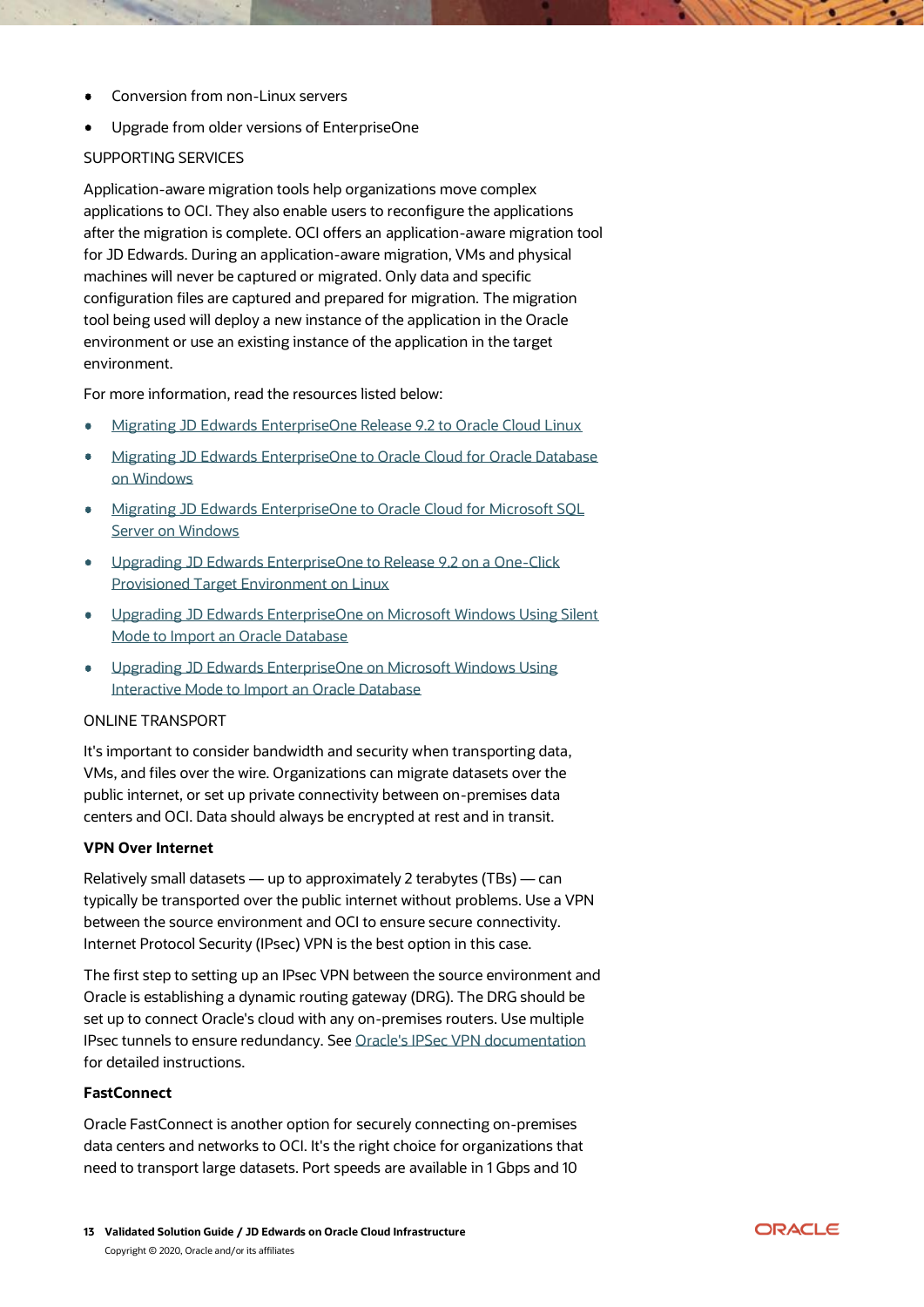- Conversion from non-Linux servers
- Upgrade from older versions of EnterpriseOne

#### SUPPORTING SERVICES

Application-aware migration tools help organizations move complex applications to OCI. They also enable users to reconfigure the applications after the migration is complete. OCI offers an application-aware migration tool for JD Edwards. During an application-aware migration, VMs and physical machines will never be captured or migrated. Only data and specific configuration files are captured and prepared for migration. The migration tool being used will deploy a new instance of the application in the Oracle environment or use an existing instance of the application in the target environment.

For more information, read the resources listed below:

- [Migrating JD Edwards EnterpriseOne Release 9.2 to Oracle Cloud Linux](https://apexapps.oracle.com/pls/apex/f?p=44785:112:8528088293459::::P112_CONTENT_ID,P112_PREV_PAGE:16845)
- [Migrating JD Edwards EnterpriseOne to Oracle Cloud for Oracle Database](https://apexapps.oracle.com/pls/apex/f?p=44785:24:0::NO:RP,24:P24_CONTENT_ID,P24_PREV_PAGE:23636,2)  [on Windows](https://apexapps.oracle.com/pls/apex/f?p=44785:24:0::NO:RP,24:P24_CONTENT_ID,P24_PREV_PAGE:23636,2)
- [Migrating JD Edwards EnterpriseOne to Oracle Cloud for Microsoft SQL](https://apexapps.oracle.com/pls/apex/f?p=44785:24:0::NO:RP,24:P24_CONTENT_ID,P24_PREV_PAGE:23637,2)  [Server on Windows](https://apexapps.oracle.com/pls/apex/f?p=44785:24:0::NO:RP,24:P24_CONTENT_ID,P24_PREV_PAGE:23637,2)
- [Upgrading JD Edwards EnterpriseOne to Release 9.2 on a One-Click](https://apexapps.oracle.com/pls/apex/f?p=44785:24:0::::P24_CONTENT_ID,P24_PREV_PAGE:22831,1)  [Provisioned Target Environment on Linux](https://apexapps.oracle.com/pls/apex/f?p=44785:24:0::::P24_CONTENT_ID,P24_PREV_PAGE:22831,1)
- [Upgrading JD Edwards EnterpriseOne on Microsoft Windows Using Silent](https://apexapps.oracle.com/pls/apex/f?p=44785:50:106520831436913:::50:P50_COURSE_ID,P50_EVENT_ID:401,6158)  [Mode to Import an Oracle Database](https://apexapps.oracle.com/pls/apex/f?p=44785:50:106520831436913:::50:P50_COURSE_ID,P50_EVENT_ID:401,6158)
- [Upgrading JD Edwards EnterpriseOne on Microsoft Windows Using](https://apexapps.oracle.com/pls/apex/f?p=44785:50:106520831436913:::50:P50_COURSE_ID,P50_EVENT_ID:398,6155)  [Interactive Mode to Import an Oracle Database](https://apexapps.oracle.com/pls/apex/f?p=44785:50:106520831436913:::50:P50_COURSE_ID,P50_EVENT_ID:398,6155)

## ONLINE TRANSPORT

It's important to consider bandwidth and security when transporting data, VMs, and files over the wire. Organizations can migrate datasets over the public internet, or set up private connectivity between on-premises data centers and OCI. Data should always be encrypted at rest and in transit.

#### **VPN Over Internet**

Relatively small datasets — up to approximately 2 terabytes (TBs) — can typically be transported over the public internet without problems. Use a VPN between the source environment and OCI to ensure secure connectivity. Internet Protocol Security (IPsec) VPN is the best option in this case.

The first step to setting up an IPsec VPN between the source environment and Oracle is establishing a dynamic routing gateway (DRG). The DRG should be set up to connect Oracle's cloud with any on-premises routers. Use multiple IPsec tunnels to ensure redundancy. See [Oracle's IPSec VPN documentation](https://docs.cloud.oracle.com/iaas/Content/Network/Tasks/managingIPsec.htm) for detailed instructions.

## **FastConnect**

Oracle FastConnect is another option for securely connecting on-premises data centers and networks to OCI. It's the right choice for organizations that need to transport large datasets. Port speeds are available in 1 Gbps and 10

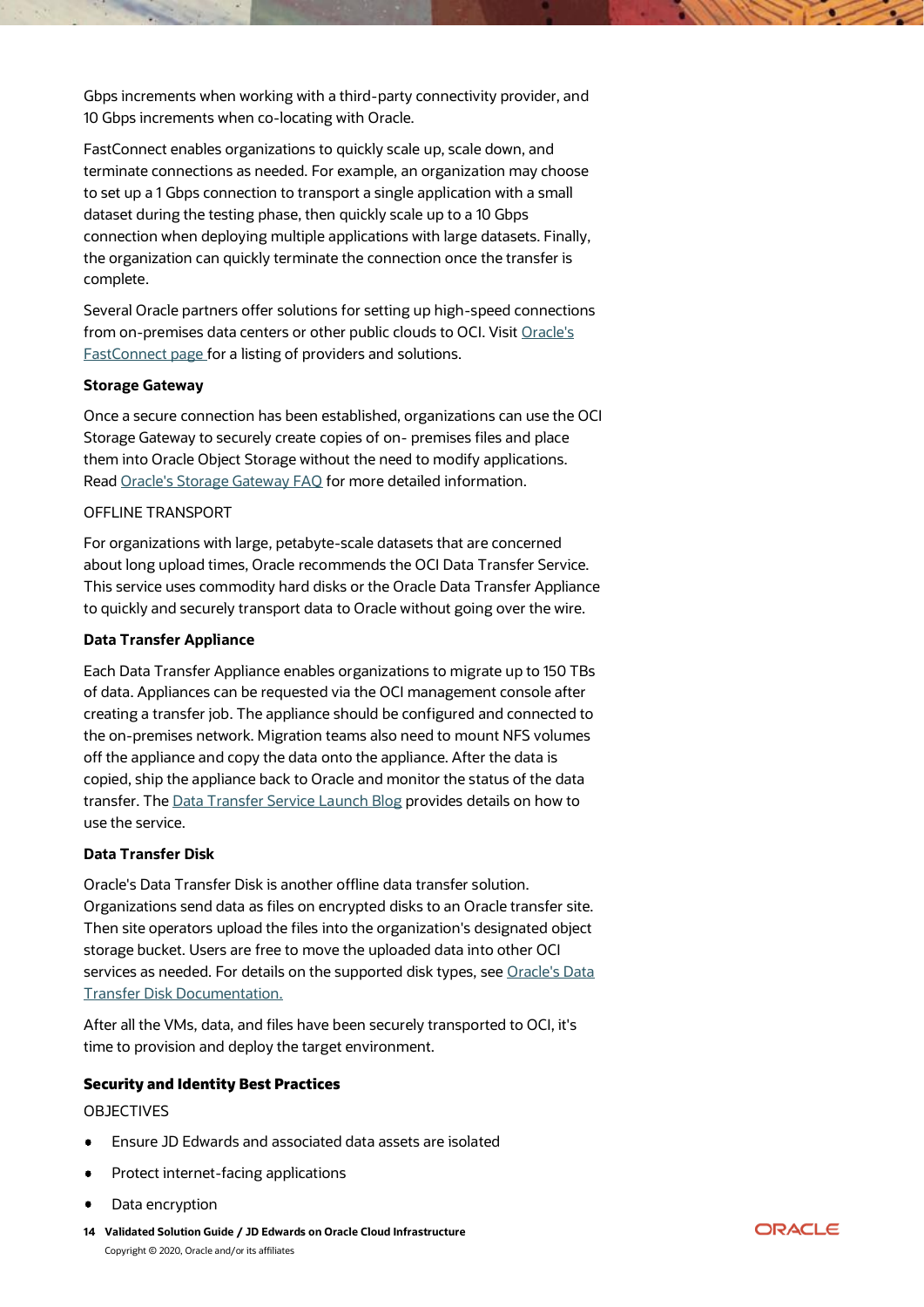Gbps increments when working with a third-party connectivity provider, and 10 Gbps increments when co-locating with Oracle.

FastConnect enables organizations to quickly scale up, scale down, and terminate connections as needed. For example, an organization may choose to set up a 1 Gbps connection to transport a single application with a small dataset during the testing phase, then quickly scale up to a 10 Gbps connection when deploying multiple applications with large datasets. Finally, the organization can quickly terminate the connection once the transfer is complete.

Several Oracle partners offer solutions for setting up high-speed connections from on-premises data centers or other public clouds to OCI. Visit [Oracle's](https://cloud.oracle.com/fastconnect)  [FastConnect page](https://cloud.oracle.com/fastconnect) for a listing of providers and solutions.

#### **Storage Gateway**

Once a secure connection has been established, organizations can use the OCI Storage Gateway to securely create copies of on- premises files and place them into Oracle Object Storage without the need to modify applications. Read [Oracle's Storage Gateway FAQ](https://cloud.oracle.com/storage/storage-gateway/faq) for more detailed information.

#### OFFLINE TRANSPORT

For organizations with large, petabyte-scale datasets that are concerned about long upload times, Oracle recommends the OCI Data Transfer Service. This service uses commodity hard disks or the Oracle Data Transfer Appliance to quickly and securely transport data to Oracle without going over the wire.

#### **Data Transfer Appliance**

Each Data Transfer Appliance enables organizations to migrate up to 150 TBs of data. Appliances can be requested via the OCI management console after creating a transfer job. The appliance should be configured and connected to the on-premises network. Migration teams also need to mount NFS volumes off the appliance and copy the data onto the appliance. After the data is copied, ship the appliance back to Oracle and monitor the status of the data transfer. Th[e Data Transfer Service Launch Blog](https://blogs.oracle.com/cloud-infrastructure/introducing-oracle-cloud-infrastructure-data-transfer-service) provides details on how to use the service.

## **Data Transfer Disk**

Oracle's Data Transfer Disk is another offline data transfer solution. Organizations send data as files on encrypted disks to an Oracle transfer site. Then site operators upload the files into the organization's designated object storage bucket. Users are free to move the uploaded data into other OCI services as needed. For details on the supported disk types, see [Oracle's Data](https://blogs.oracle.com/cloud-infrastructure/introducing-oracle-cloud-infrastructure-data-transfer-service)  [Transfer Disk Documentation.](https://blogs.oracle.com/cloud-infrastructure/introducing-oracle-cloud-infrastructure-data-transfer-service)

After all the VMs, data, and files have been securely transported to OCI, it's time to provision and deploy the target environment.

## <span id="page-13-0"></span>Security and Identity Best Practices

OBJECTIVES

- Ensure JD Edwards and associated data assets are isolated
- Protect internet-facing applications
- Data encryption
- **14 Validated Solution Guide / JD Edwards on Oracle Cloud Infrastructure** Copyright © 2020, Oracle and/or its affiliates

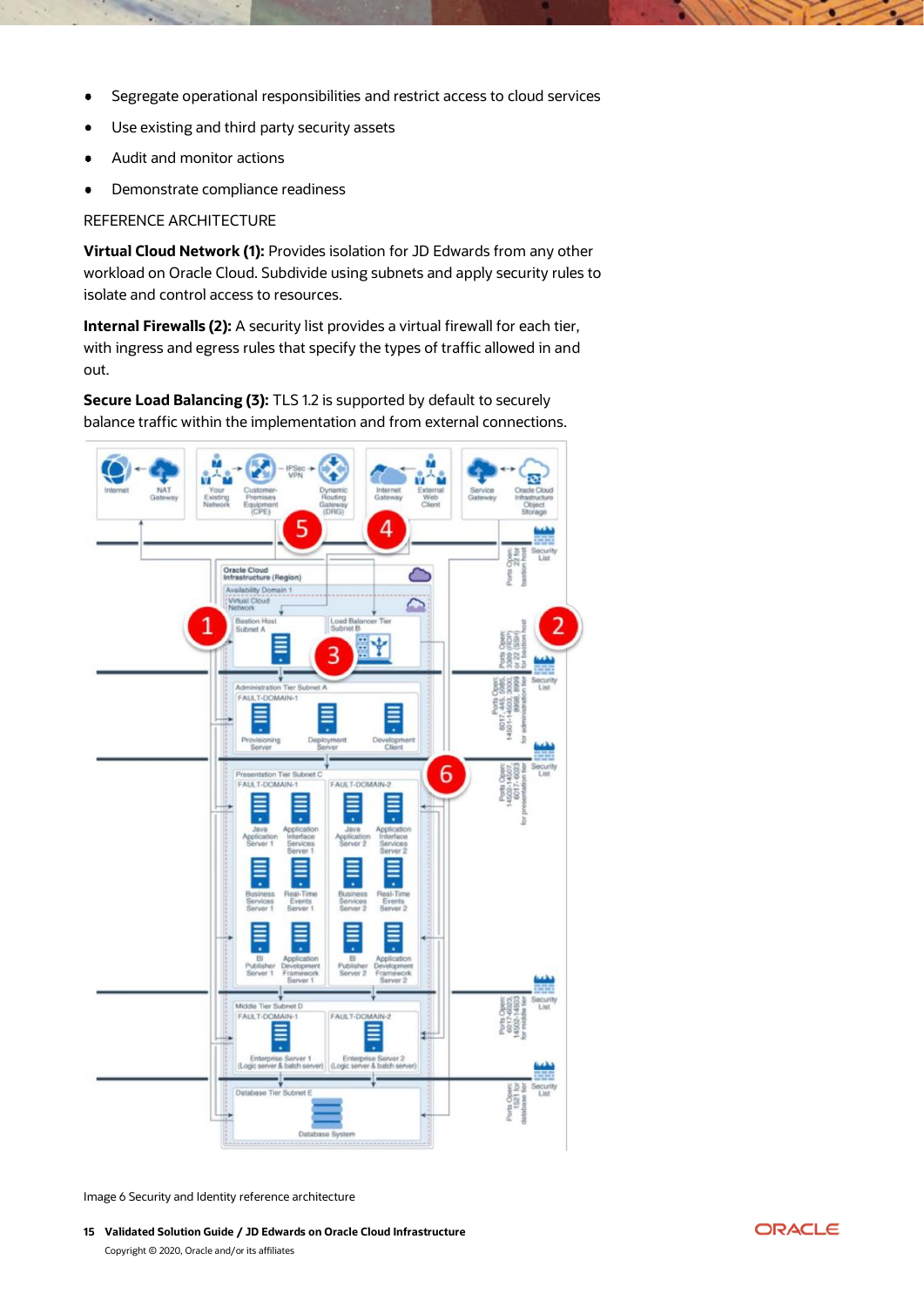- Segregate operational responsibilities and restrict access to cloud services  $\bullet$
- Use existing and third party security assets
- Audit and monitor actions  $\bullet$
- Demonstrate compliance readiness  $\bullet$

REFERENCE ARCHITECTURE

**Virtual Cloud Network (1):** Provides isolation for JD Edwards from any other workload on Oracle Cloud. Subdivide using subnets and apply security rules to isolate and control access to resources.

**Internal Firewalls (2):** A security list provides a virtual firewall for each tier, with ingress and egress rules that specify the types of traffic allowed in and out.

**Secure Load Balancing (3):** TLS 1.2 is supported by default to securely balance traffic within the implementation and from external connections.



Image 6 Security and Identity reference architecture

**15 Validated Solution Guide / JD Edwards on Oracle Cloud Infrastructure** Copyright © 2020, Oracle and/or its affiliates

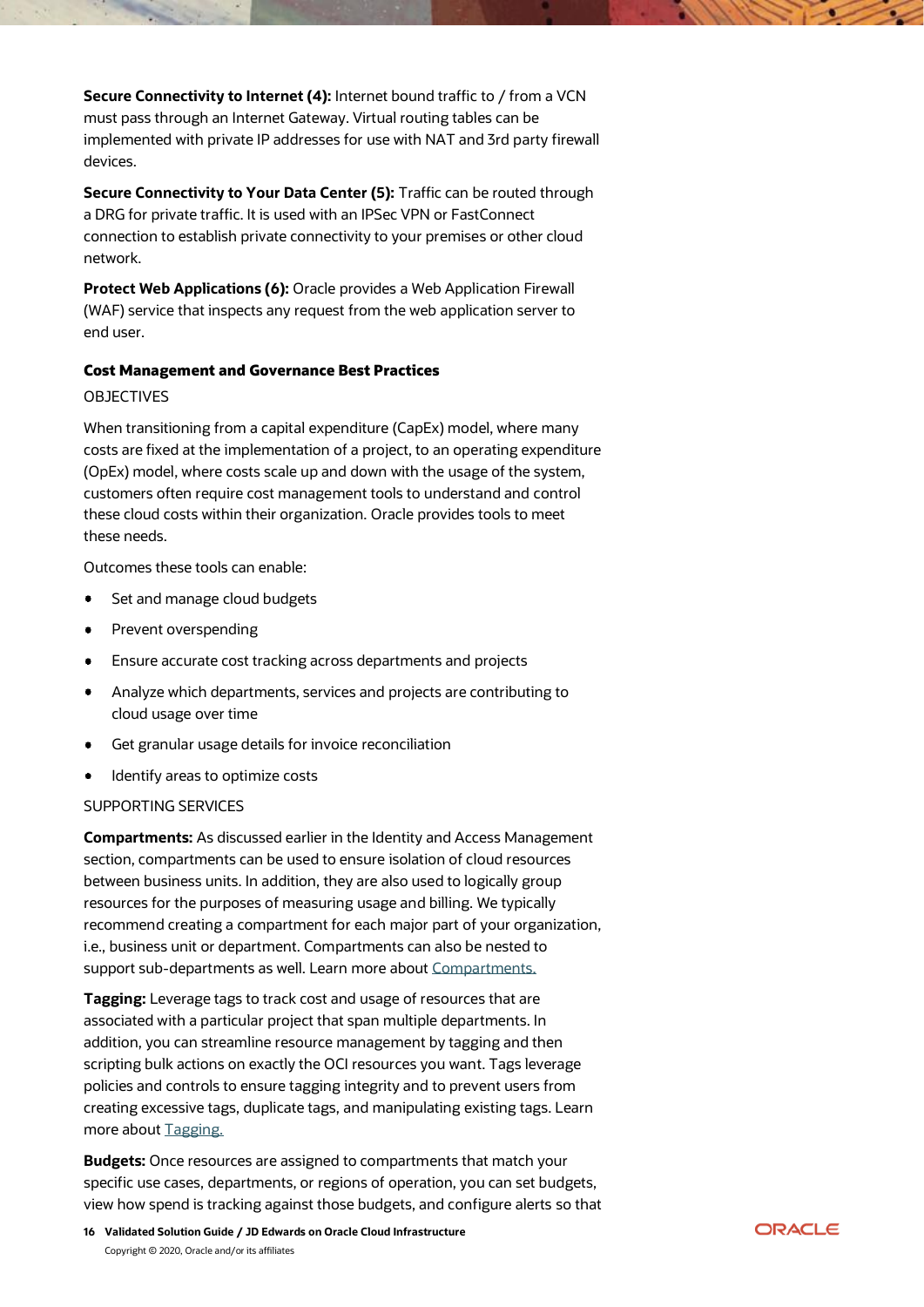**Secure Connectivity to Internet (4):** Internet bound traffic to / from a VCN must pass through an Internet Gateway. Virtual routing tables can be implemented with private IP addresses for use with NAT and 3rd party firewall devices.

**Secure Connectivity to Your Data Center (5):** Traffic can be routed through a DRG for private traffic. It is used with an IPSec VPN or FastConnect connection to establish private connectivity to your premises or other cloud network.

**Protect Web Applications (6):** Oracle provides a Web Application Firewall (WAF) service that inspects any request from the web application server to end user.

## <span id="page-15-0"></span>Cost Management and Governance Best Practices

# OBJECTIVES

When transitioning from a capital expenditure (CapEx) model, where many costs are fixed at the implementation of a project, to an operating expenditure (OpEx) model, where costs scale up and down with the usage of the system, customers often require cost management tools to understand and control these cloud costs within their organization. Oracle provides tools to meet these needs.

Outcomes these tools can enable:

- Set and manage cloud budgets
- Prevent overspending  $\bullet$
- Ensure accurate cost tracking across departments and projects  $\bullet$
- $\bullet$ Analyze which departments, services and projects are contributing to cloud usage over time
- Get granular usage details for invoice reconciliation
- Identify areas to optimize costs

## SUPPORTING SERVICES

**Compartments:** As discussed earlier in the Identity and Access Management section, compartments can be used to ensure isolation of cloud resources between business units. In addition, they are also used to logically group resources for the purposes of measuring usage and billing. We typically recommend creating a compartment for each major part of your organization, i.e., business unit or department. Compartments can also be nested to support sub-departments as well. Learn more about [Compartments.](https://docs.cloud.oracle.com/iaas/Content/Identity/Tasks/managingcompartments.htm)

**Tagging:** Leverage tags to track cost and usage of resources that are associated with a particular project that span multiple departments. In addition, you can streamline resource management by tagging and then scripting bulk actions on exactly the OCI resources you want. Tags leverage policies and controls to ensure tagging integrity and to prevent users from creating excessive tags, duplicate tags, and manipulating existing tags. Learn more about [Tagging.](https://docs.cloud.oracle.com/iaas/Content/Identity/Concepts/taggingoverview.htm)

**Budgets:** Once resources are assigned to compartments that match your specific use cases, departments, or regions of operation, you can set budgets, view how spend is tracking against those budgets, and configure alerts so that

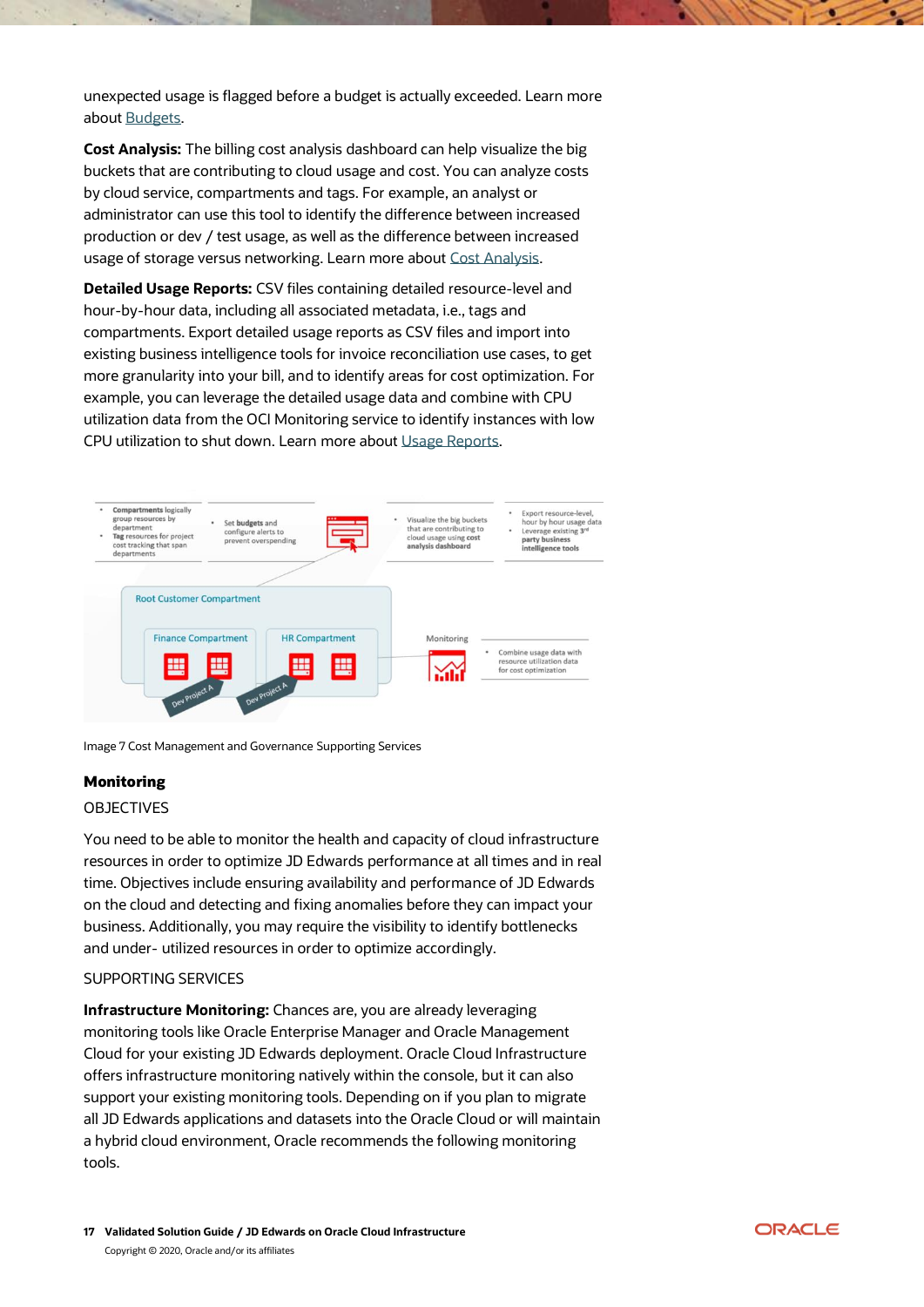unexpected usage is flagged before a budget is actually exceeded. Learn more about [Budgets.](https://docs.cloud.oracle.com/iaas/Content/Billing/Concepts/budgetsoverview.htm)

**Cost Analysis:** The billing cost analysis dashboard can help visualize the big buckets that are contributing to cloud usage and cost. You can analyze costs by cloud service, compartments and tags. For example, an analyst or administrator can use this tool to identify the difference between increased production or dev / test usage, as well as the difference between increased usage of storage versus networking. Learn more about [Cost Analysis.](https://docs.cloud.oracle.com/iaas/Content/GSG/Concepts/costs.htm)

**Detailed Usage Reports:** CSV files containing detailed resource-level and hour-by-hour data, including all associated metadata, i.e., tags and compartments. Export detailed usage reports as CSV files and import into existing business intelligence tools for invoice reconciliation use cases, to get more granularity into your bill, and to identify areas for cost optimization. For example, you can leverage the detailed usage data and combine with CPU utilization data from the OCI Monitoring service to identify instances with low CPU utilization to shut down. Learn more about [Usage Reports.](https://docs.cloud.oracle.com/iaas/Content/Billing/Concepts/usagereportsoverview.htm)



Image 7 Cost Management and Governance Supporting Services

## <span id="page-16-0"></span>Monitoring

#### OBJECTIVES

You need to be able to monitor the health and capacity of cloud infrastructure resources in order to optimize JD Edwards performance at all times and in real time. Objectives include ensuring availability and performance of JD Edwards on the cloud and detecting and fixing anomalies before they can impact your business. Additionally, you may require the visibility to identify bottlenecks and under- utilized resources in order to optimize accordingly.

#### SUPPORTING SERVICES

**Infrastructure Monitoring:** Chances are, you are already leveraging monitoring tools like Oracle Enterprise Manager and Oracle Management Cloud for your existing JD Edwards deployment. Oracle Cloud Infrastructure offers infrastructure monitoring natively within the console, but it can also support your existing monitoring tools. Depending on if you plan to migrate all JD Edwards applications and datasets into the Oracle Cloud or will maintain a hybrid cloud environment, Oracle recommends the following monitoring tools.

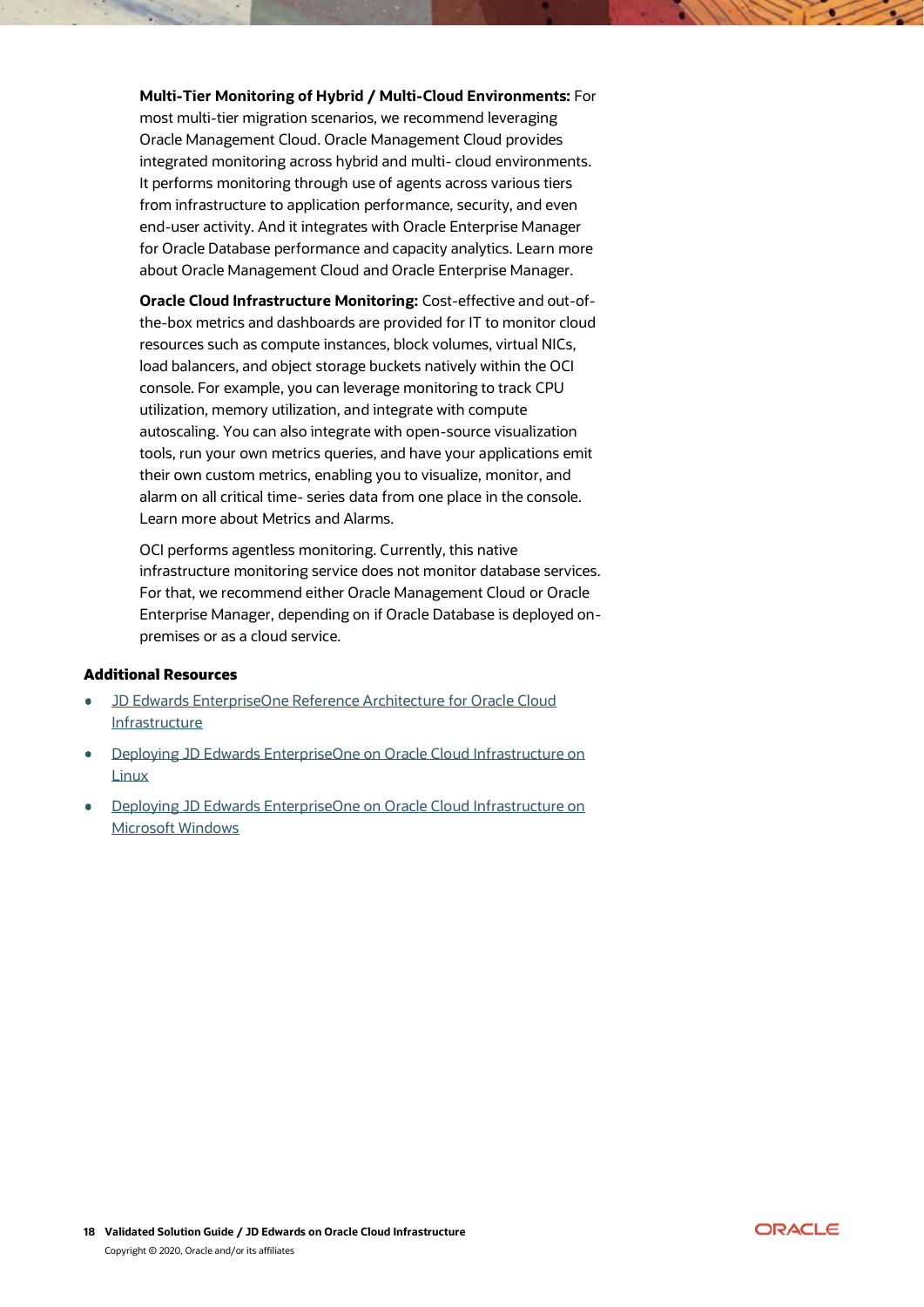**Multi-Tier Monitoring of Hybrid / Multi-Cloud Environments:** For most multi-tier migration scenarios, we recommend leveraging Oracle Management Cloud. Oracle Management Cloud provides integrated monitoring across hybrid and multi- cloud environments. It performs monitoring through use of agents across various tiers from infrastructure to application performance, security, and even end-user activity. And it integrates with Oracle Enterprise Manager for Oracle Database performance and capacity analytics. Learn more about Oracle Management Cloud and Oracle Enterprise Manager.

**Oracle Cloud Infrastructure Monitoring:** Cost-effective and out-ofthe-box metrics and dashboards are provided for IT to monitor cloud resources such as compute instances, block volumes, virtual NICs, load balancers, and object storage buckets natively within the OCI console. For example, you can leverage monitoring to track CPU utilization, memory utilization, and integrate with compute autoscaling. You can also integrate with open-source visualization tools, run your own metrics queries, and have your applications emit their own custom metrics, enabling you to visualize, monitor, and alarm on all critical time- series data from one place in the console. Learn more about Metrics and Alarms.

OCI performs agentless monitoring. Currently, this native infrastructure monitoring service does not monitor database services. For that, we recommend either Oracle Management Cloud or Oracle Enterprise Manager, depending on if Oracle Database is deployed onpremises or as a cloud service.

#### <span id="page-17-0"></span>Additional Resources

- [JD Edwards EnterpriseOne Reference Architecture for Oracle Cloud](https://docs.oracle.com/en/solutions/index.html?product=JD%20Edwards%20EnterpriseOne%20Applications&page=0&is=true&sort=0)  [Infrastructure](https://docs.oracle.com/en/solutions/index.html?product=JD%20Edwards%20EnterpriseOne%20Applications&page=0&is=true&sort=0)
- [Deploying JD Edwards EnterpriseOne on Oracle Cloud Infrastructure on](https://apexapps.oracle.com/pls/apex/f?p=44785:24:112616091515778::NO:RP,24:P24_CONTENT_ID,P24_PREV_PAGE:22279,2)  [Linux](https://apexapps.oracle.com/pls/apex/f?p=44785:24:112616091515778::NO:RP,24:P24_CONTENT_ID,P24_PREV_PAGE:22279,2)
- [Deploying JD Edwards EnterpriseOne on Oracle Cloud Infrastructure on](https://apexapps.oracle.com/pls/apex/f?p=44785:24:112616091515778::NO:RP,24:P24_CONTENT_ID,P24_PREV_PAGE:23630,2)  [Microsoft Windows](https://apexapps.oracle.com/pls/apex/f?p=44785:24:112616091515778::NO:RP,24:P24_CONTENT_ID,P24_PREV_PAGE:23630,2)